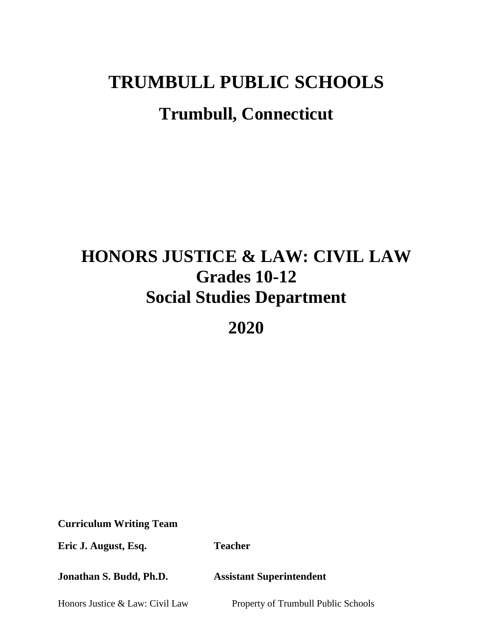# **TRUMBULL PUBLIC SCHOOLS Trumbull, Connecticut**

# **HONORS JUSTICE & LAW: CIVIL LAW Grades 10-12 Social Studies Department**

**2020**

**Curriculum Writing Team**

**Eric J. August, Esq. Teacher** 

**Jonathan S. Budd, Ph.D. Assistant Superintendent** 

Honors Justice & Law: Civil Law Property of Trumbull Public Schools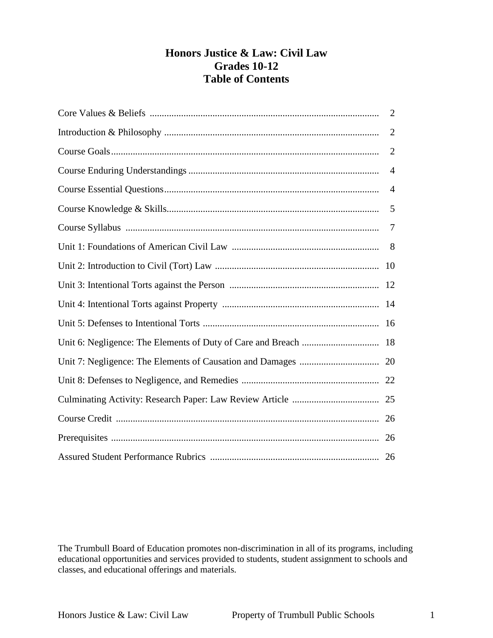# **Honors Justice & Law: Civil Law Grades 10-12 Table of Contents**

| 2              |
|----------------|
| $\overline{2}$ |
| $\overline{2}$ |
| $\overline{4}$ |
| $\overline{4}$ |
| 5              |
| 7              |
|                |
|                |
|                |
|                |
|                |
|                |
|                |
|                |
|                |
|                |
|                |
|                |

The Trumbull Board of Education promotes non-discrimination in all of its programs, including educational opportunities and services provided to students, student assignment to schools and classes, and educational offerings and materials.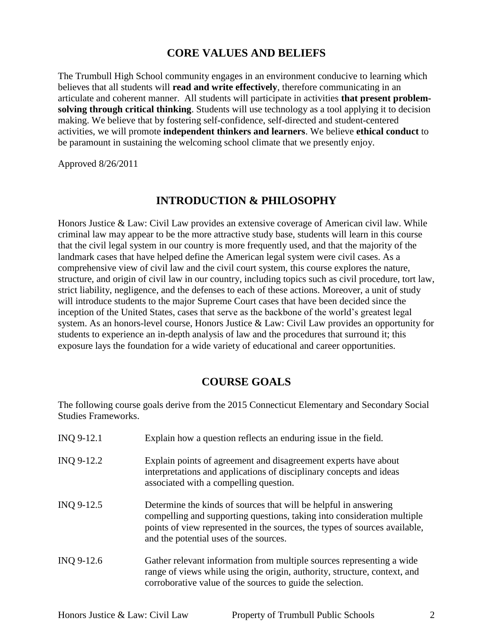## **CORE VALUES AND BELIEFS**

The Trumbull High School community engages in an environment conducive to learning which believes that all students will **read and write effectively**, therefore communicating in an articulate and coherent manner. All students will participate in activities **that present problemsolving through critical thinking**. Students will use technology as a tool applying it to decision making. We believe that by fostering self-confidence, self-directed and student-centered activities, we will promote **independent thinkers and learners**. We believe **ethical conduct** to be paramount in sustaining the welcoming school climate that we presently enjoy.

Approved 8/26/2011

## **INTRODUCTION & PHILOSOPHY**

Honors Justice & Law: Civil Law provides an extensive coverage of American civil law. While criminal law may appear to be the more attractive study base, students will learn in this course that the civil legal system in our country is more frequently used, and that the majority of the landmark cases that have helped define the American legal system were civil cases. As a comprehensive view of civil law and the civil court system, this course explores the nature, structure, and origin of civil law in our country, including topics such as civil procedure, tort law, strict liability, negligence, and the defenses to each of these actions. Moreover, a unit of study will introduce students to the major Supreme Court cases that have been decided since the inception of the United States, cases that serve as the backbone of the world's greatest legal system. As an honors-level course, Honors Justice & Law: Civil Law provides an opportunity for students to experience an in-depth analysis of law and the procedures that surround it; this exposure lays the foundation for a wide variety of educational and career opportunities.

## **COURSE GOALS**

The following course goals derive from the 2015 Connecticut Elementary and Secondary Social Studies Frameworks.

| INQ 9-12.1 | Explain how a question reflects an enduring issue in the field.                                                                                                                                                                                                     |
|------------|---------------------------------------------------------------------------------------------------------------------------------------------------------------------------------------------------------------------------------------------------------------------|
| INQ 9-12.2 | Explain points of agreement and disagreement experts have about<br>interpretations and applications of disciplinary concepts and ideas<br>associated with a compelling question.                                                                                    |
| INO 9-12.5 | Determine the kinds of sources that will be helpful in answering<br>compelling and supporting questions, taking into consideration multiple<br>points of view represented in the sources, the types of sources available,<br>and the potential uses of the sources. |
| INQ 9-12.6 | Gather relevant information from multiple sources representing a wide<br>range of views while using the origin, authority, structure, context, and<br>corroborative value of the sources to guide the selection.                                                    |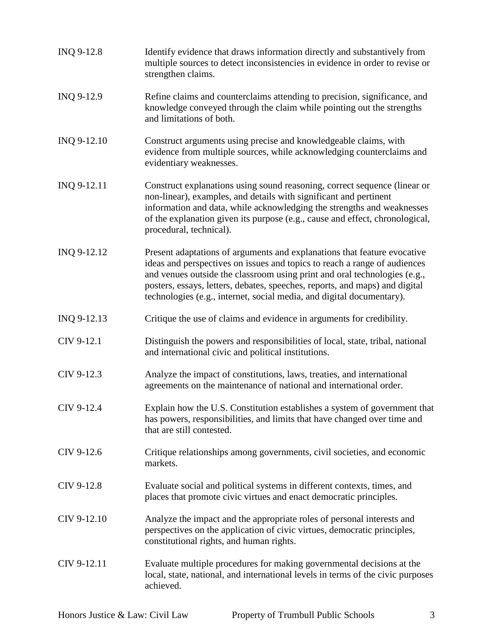| INQ 9-12.8  | Identify evidence that draws information directly and substantively from<br>multiple sources to detect inconsistencies in evidence in order to revise or<br>strengthen claims.                                                                                                                                                                                                             |
|-------------|--------------------------------------------------------------------------------------------------------------------------------------------------------------------------------------------------------------------------------------------------------------------------------------------------------------------------------------------------------------------------------------------|
| INQ 9-12.9  | Refine claims and counterclaims attending to precision, significance, and<br>knowledge conveyed through the claim while pointing out the strengths<br>and limitations of both.                                                                                                                                                                                                             |
| INQ 9-12.10 | Construct arguments using precise and knowledgeable claims, with<br>evidence from multiple sources, while acknowledging counterclaims and<br>evidentiary weaknesses.                                                                                                                                                                                                                       |
| INQ 9-12.11 | Construct explanations using sound reasoning, correct sequence (linear or<br>non-linear), examples, and details with significant and pertinent<br>information and data, while acknowledging the strengths and weaknesses<br>of the explanation given its purpose (e.g., cause and effect, chronological,<br>procedural, technical).                                                        |
| INQ 9-12.12 | Present adaptations of arguments and explanations that feature evocative<br>ideas and perspectives on issues and topics to reach a range of audiences<br>and venues outside the classroom using print and oral technologies (e.g.,<br>posters, essays, letters, debates, speeches, reports, and maps) and digital<br>technologies (e.g., internet, social media, and digital documentary). |
| INQ 9-12.13 | Critique the use of claims and evidence in arguments for credibility.                                                                                                                                                                                                                                                                                                                      |
| CIV 9-12.1  | Distinguish the powers and responsibilities of local, state, tribal, national<br>and international civic and political institutions.                                                                                                                                                                                                                                                       |
| CIV 9-12.3  | Analyze the impact of constitutions, laws, treaties, and international<br>agreements on the maintenance of national and international order.                                                                                                                                                                                                                                               |
| CIV 9-12.4  | Explain how the U.S. Constitution establishes a system of government that<br>has powers, responsibilities, and limits that have changed over time and<br>that are still contested.                                                                                                                                                                                                         |
| CIV 9-12.6  | Critique relationships among governments, civil societies, and economic<br>markets.                                                                                                                                                                                                                                                                                                        |
| CIV 9-12.8  | Evaluate social and political systems in different contexts, times, and<br>places that promote civic virtues and enact democratic principles.                                                                                                                                                                                                                                              |
| CIV 9-12.10 | Analyze the impact and the appropriate roles of personal interests and<br>perspectives on the application of civic virtues, democratic principles,<br>constitutional rights, and human rights.                                                                                                                                                                                             |
| CIV 9-12.11 | Evaluate multiple procedures for making governmental decisions at the<br>local, state, national, and international levels in terms of the civic purposes                                                                                                                                                                                                                                   |

achieved.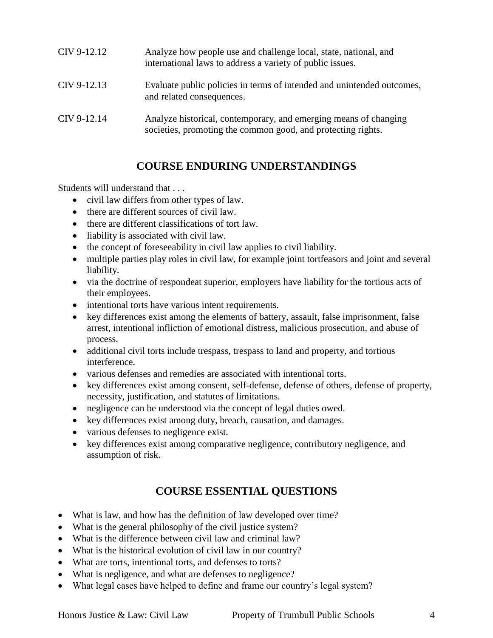| CIV 9-12.12 | Analyze how people use and challenge local, state, national, and<br>international laws to address a variety of public issues.    |
|-------------|----------------------------------------------------------------------------------------------------------------------------------|
| CIV 9-12.13 | Evaluate public policies in terms of intended and unintended outcomes,<br>and related consequences.                              |
| CIV 9-12.14 | Analyze historical, contemporary, and emerging means of changing<br>societies, promoting the common good, and protecting rights. |

# **COURSE ENDURING UNDERSTANDINGS**

Students will understand that . . .

- civil law differs from other types of law.
- there are different sources of civil law.
- there are different classifications of tort law.
- liability is associated with civil law.
- the concept of foreseeability in civil law applies to civil liability.
- multiple parties play roles in civil law, for example joint tortfeasors and joint and several liability.
- via the doctrine of respondeat superior, employers have liability for the tortious acts of their employees.
- intentional torts have various intent requirements.
- key differences exist among the elements of battery, assault, false imprisonment, false arrest, intentional infliction of emotional distress, malicious prosecution, and abuse of process.
- additional civil torts include trespass, trespass to land and property, and tortious interference.
- various defenses and remedies are associated with intentional torts.
- key differences exist among consent, self-defense, defense of others, defense of property, necessity, justification, and statutes of limitations.
- negligence can be understood via the concept of legal duties owed.
- key differences exist among duty, breach, causation, and damages.
- various defenses to negligence exist.
- key differences exist among comparative negligence, contributory negligence, and assumption of risk.

# **COURSE ESSENTIAL QUESTIONS**

- What is law, and how has the definition of law developed over time?
- What is the general philosophy of the civil justice system?
- What is the difference between civil law and criminal law?
- What is the historical evolution of civil law in our country?
- What are torts, intentional torts, and defenses to torts?
- What is negligence, and what are defenses to negligence?
- What legal cases have helped to define and frame our country's legal system?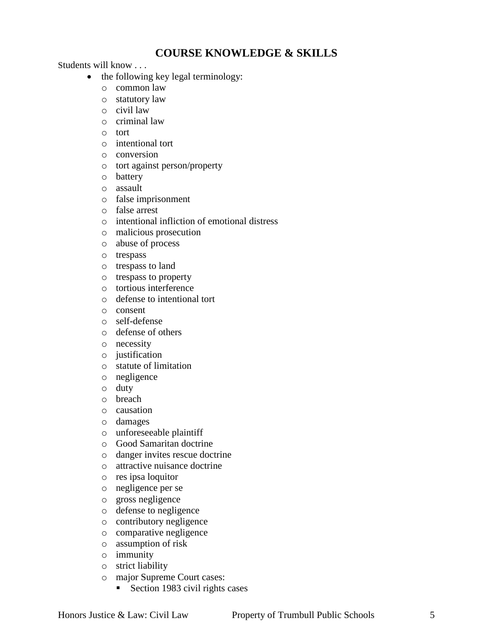# **COURSE KNOWLEDGE & SKILLS**

Students will know . . .

- the following key legal terminology:
	- o common law
	- o statutory law
	- o civil law
	- o criminal law
	- o tort
	- o intentional tort
	- o conversion
	- o tort against person/property
	- o battery
	- o assault
	- o false imprisonment
	- o false arrest
	- o intentional infliction of emotional distress
	- o malicious prosecution
	- o abuse of process
	- o trespass
	- o trespass to land
	- o trespass to property
	- o tortious interference
	- o defense to intentional tort
	- o consent
	- o self-defense
	- o defense of others
	- o necessity
	- o justification
	- o statute of limitation
	- o negligence
	- o duty
	- o breach
	- o causation
	- o damages
	- o unforeseeable plaintiff
	- o Good Samaritan doctrine
	- o danger invites rescue doctrine
	- o attractive nuisance doctrine
	- o res ipsa loquitor
	- o negligence per se
	- o gross negligence
	- o defense to negligence
	- o contributory negligence
	- o comparative negligence
	- o assumption of risk
	- o immunity
	- o strict liability
	- o major Supreme Court cases:
		- Section 1983 civil rights cases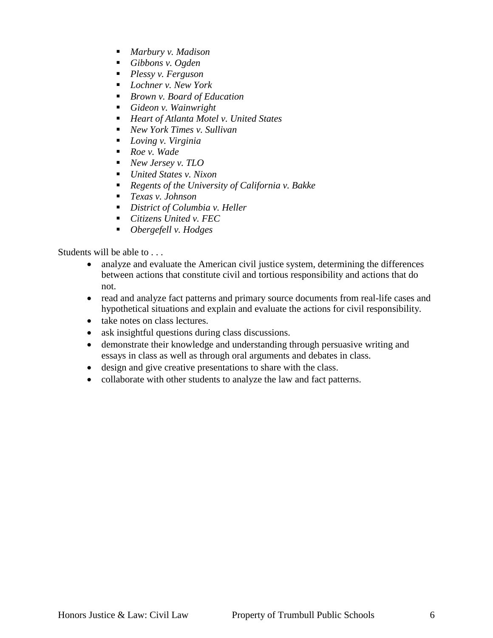- *Marbury v. Madison*
- *Gibbons v. Ogden*
- *Plessy v. Ferguson*
- *Lochner v. New York*
- *Brown v. Board of Education*
- *Gideon v. Wainwright*
- *Heart of Atlanta Motel v. United States*
- *New York Times v. Sullivan*
- *Loving v. Virginia*
- *Roe v. Wade*
- *New Jersey v. TLO*
- *United States v. Nixon*
- *Regents of the University of California v. Bakke*
- *Texas v. Johnson*
- *District of Columbia v. Heller*
- *Citizens United v. FEC*
- *Obergefell v. Hodges*

Students will be able to . . .

- analyze and evaluate the American civil justice system, determining the differences between actions that constitute civil and tortious responsibility and actions that do not.
- read and analyze fact patterns and primary source documents from real-life cases and hypothetical situations and explain and evaluate the actions for civil responsibility.
- take notes on class lectures.
- ask insightful questions during class discussions.
- demonstrate their knowledge and understanding through persuasive writing and essays in class as well as through oral arguments and debates in class.
- design and give creative presentations to share with the class.
- collaborate with other students to analyze the law and fact patterns.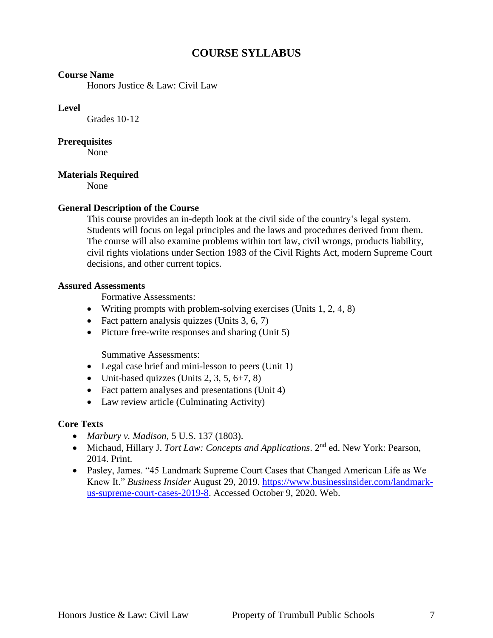# **COURSE SYLLABUS**

#### **Course Name**

Honors Justice & Law: Civil Law

#### **Level**

Grades 10-12

#### **Prerequisites**

None

#### **Materials Required**

None

#### **General Description of the Course**

This course provides an in-depth look at the civil side of the country's legal system. Students will focus on legal principles and the laws and procedures derived from them. The course will also examine problems within tort law, civil wrongs, products liability, civil rights violations under Section 1983 of the Civil Rights Act, modern Supreme Court decisions, and other current topics.

#### **Assured Assessments**

Formative Assessments:

- Writing prompts with problem-solving exercises (Units 1, 2, 4, 8)
- Fact pattern analysis quizzes (Units 3, 6, 7)
- $\bullet$  Picture free-write responses and sharing (Unit 5)

Summative Assessments:

- Legal case brief and mini-lesson to peers (Unit 1)
- $\bullet$  Unit-based quizzes (Units 2, 3, 5, 6+7, 8)
- Fact pattern analyses and presentations (Unit 4)
- Law review article (Culminating Activity)

#### **Core Texts**

- *Marbury v. Madison*, 5 U.S. 137 (1803).
- Michaud, Hillary J. *Tort Law: Concepts and Applications*. 2nd ed. New York: Pearson, 2014. Print.
- Pasley, James. "45 Landmark Supreme Court Cases that Changed American Life as We Knew It." *Business Insider* August 29, 2019. [https://www.businessinsider.com/landmark](https://www.businessinsider.com/landmark-us-supreme-court-cases-2019-8)[us-supreme-court-cases-2019-8.](https://www.businessinsider.com/landmark-us-supreme-court-cases-2019-8) Accessed October 9, 2020. Web.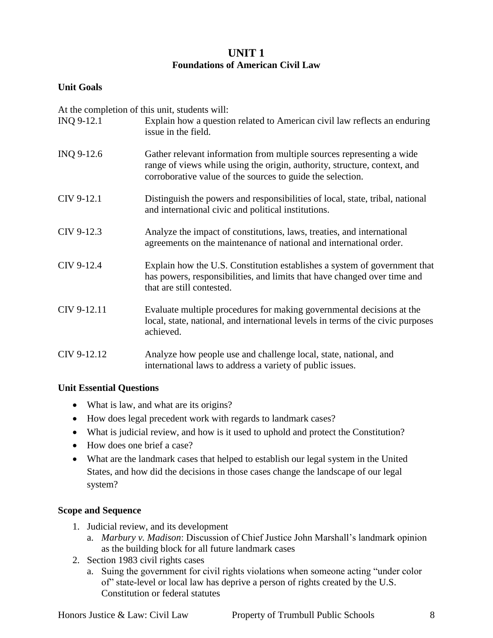## **UNIT 1 Foundations of American Civil Law**

## **Unit Goals**

At the completion of this unit, students will:

| INQ 9-12.1  | Explain how a question related to American civil law reflects an enduring<br>issue in the field.                                                                                                                 |
|-------------|------------------------------------------------------------------------------------------------------------------------------------------------------------------------------------------------------------------|
| INQ 9-12.6  | Gather relevant information from multiple sources representing a wide<br>range of views while using the origin, authority, structure, context, and<br>corroborative value of the sources to guide the selection. |
| CIV 9-12.1  | Distinguish the powers and responsibilities of local, state, tribal, national<br>and international civic and political institutions.                                                                             |
| CIV 9-12.3  | Analyze the impact of constitutions, laws, treaties, and international<br>agreements on the maintenance of national and international order.                                                                     |
| CIV 9-12.4  | Explain how the U.S. Constitution establishes a system of government that<br>has powers, responsibilities, and limits that have changed over time and<br>that are still contested.                               |
| CIV 9-12.11 | Evaluate multiple procedures for making governmental decisions at the<br>local, state, national, and international levels in terms of the civic purposes<br>achieved.                                            |
| CIV 9-12.12 | Analyze how people use and challenge local, state, national, and<br>international laws to address a variety of public issues.                                                                                    |

#### **Unit Essential Questions**

- What is law, and what are its origins?
- How does legal precedent work with regards to landmark cases?
- What is judicial review, and how is it used to uphold and protect the Constitution?
- How does one brief a case?
- What are the landmark cases that helped to establish our legal system in the United States, and how did the decisions in those cases change the landscape of our legal system?

#### **Scope and Sequence**

- 1. Judicial review, and its development
	- a. *Marbury v. Madison*: Discussion of Chief Justice John Marshall's landmark opinion as the building block for all future landmark cases
- 2. Section 1983 civil rights cases
	- a. Suing the government for civil rights violations when someone acting "under color of" state-level or local law has deprive a person of rights created by the U.S. Constitution or federal statutes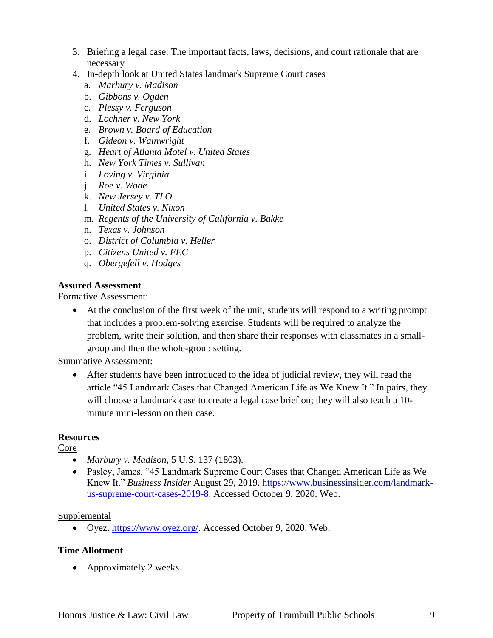- 3. Briefing a legal case: The important facts, laws, decisions, and court rationale that are necessary
- 4. In-depth look at United States landmark Supreme Court cases
	- a. *Marbury v. Madison*
	- b. *Gibbons v. Ogden*
	- c. *Plessy v. Ferguson*
	- d. *Lochner v. New York*
	- e. *Brown v. Board of Education*
	- f. *Gideon v. Wainwright*
	- g. *Heart of Atlanta Motel v. United States*
	- h. *New York Times v. Sullivan*
	- i. *Loving v. Virginia*
	- j. *Roe v. Wade*
	- k. *New Jersey v. TLO*
	- l. *United States v. Nixon*
	- m. *Regents of the University of California v. Bakke*
	- n. *Texas v. Johnson*
	- o. *District of Columbia v. Heller*
	- p. *Citizens United v. FEC*
	- q. *Obergefell v. Hodges*

#### **Assured Assessment**

Formative Assessment:

 At the conclusion of the first week of the unit, students will respond to a writing prompt that includes a problem-solving exercise. Students will be required to analyze the problem, write their solution, and then share their responses with classmates in a smallgroup and then the whole-group setting.

Summative Assessment:

 After students have been introduced to the idea of judicial review, they will read the article "45 Landmark Cases that Changed American Life as We Knew It." In pairs, they will choose a landmark case to create a legal case brief on; they will also teach a 10 minute mini-lesson on their case.

#### **Resources**

Core

- *Marbury v. Madison*, 5 U.S. 137 (1803).
- Pasley, James. "45 Landmark Supreme Court Cases that Changed American Life as We Knew It." *Business Insider* August 29, 2019. [https://www.businessinsider.com/landmark](https://www.businessinsider.com/landmark-us-supreme-court-cases-2019-8)[us-supreme-court-cases-2019-8.](https://www.businessinsider.com/landmark-us-supreme-court-cases-2019-8) Accessed October 9, 2020. Web.

#### Supplemental

Oyez. [https://www.oyez.org/.](https://www.oyez.org/) Accessed October 9, 2020. Web.

#### **Time Allotment**

• Approximately 2 weeks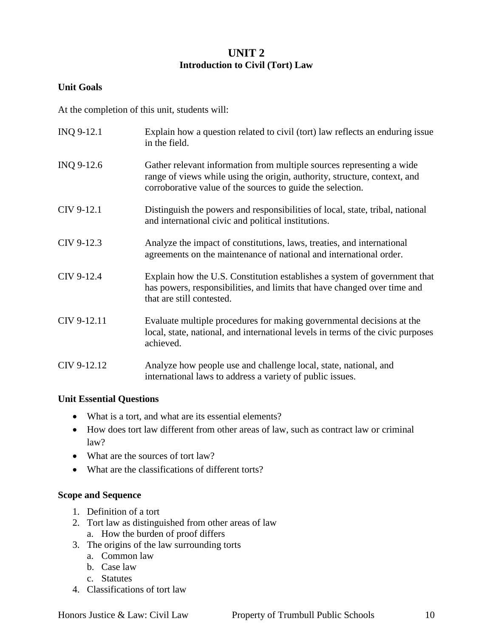## **UNIT 2 Introduction to Civil (Tort) Law**

## **Unit Goals**

At the completion of this unit, students will:

| INQ 9-12.1  | Explain how a question related to civil (tort) law reflects an enduring issue<br>in the field.                                                                                                                   |
|-------------|------------------------------------------------------------------------------------------------------------------------------------------------------------------------------------------------------------------|
| INQ 9-12.6  | Gather relevant information from multiple sources representing a wide<br>range of views while using the origin, authority, structure, context, and<br>corroborative value of the sources to guide the selection. |
| CIV 9-12.1  | Distinguish the powers and responsibilities of local, state, tribal, national<br>and international civic and political institutions.                                                                             |
| CIV 9-12.3  | Analyze the impact of constitutions, laws, treaties, and international<br>agreements on the maintenance of national and international order.                                                                     |
| CIV 9-12.4  | Explain how the U.S. Constitution establishes a system of government that<br>has powers, responsibilities, and limits that have changed over time and<br>that are still contested.                               |
| CIV 9-12.11 | Evaluate multiple procedures for making governmental decisions at the<br>local, state, national, and international levels in terms of the civic purposes<br>achieved.                                            |
| CIV 9-12.12 | Analyze how people use and challenge local, state, national, and<br>international laws to address a variety of public issues.                                                                                    |

#### **Unit Essential Questions**

- What is a tort, and what are its essential elements?
- How does tort law different from other areas of law, such as contract law or criminal law?
- What are the sources of tort law?
- What are the classifications of different torts?

#### **Scope and Sequence**

- 1. Definition of a tort
- 2. Tort law as distinguished from other areas of law
	- a. How the burden of proof differs
- 3. The origins of the law surrounding torts
	- a. Common law
	- b. Case law
	- c. Statutes
- 4. Classifications of tort law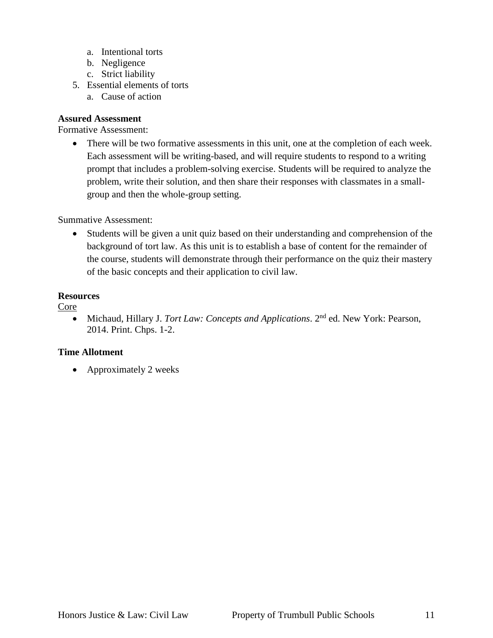- a. Intentional torts
- b. Negligence
- c. Strict liability
- 5. Essential elements of torts
	- a. Cause of action

#### **Assured Assessment**

Formative Assessment:

 There will be two formative assessments in this unit, one at the completion of each week. Each assessment will be writing-based, and will require students to respond to a writing prompt that includes a problem-solving exercise. Students will be required to analyze the problem, write their solution, and then share their responses with classmates in a smallgroup and then the whole-group setting.

#### Summative Assessment:

 Students will be given a unit quiz based on their understanding and comprehension of the background of tort law. As this unit is to establish a base of content for the remainder of the course, students will demonstrate through their performance on the quiz their mastery of the basic concepts and their application to civil law.

#### **Resources**

Core

 Michaud, Hillary J. *Tort Law: Concepts and Applications*. 2nd ed. New York: Pearson, 2014. Print. Chps. 1-2.

#### **Time Allotment**

• Approximately 2 weeks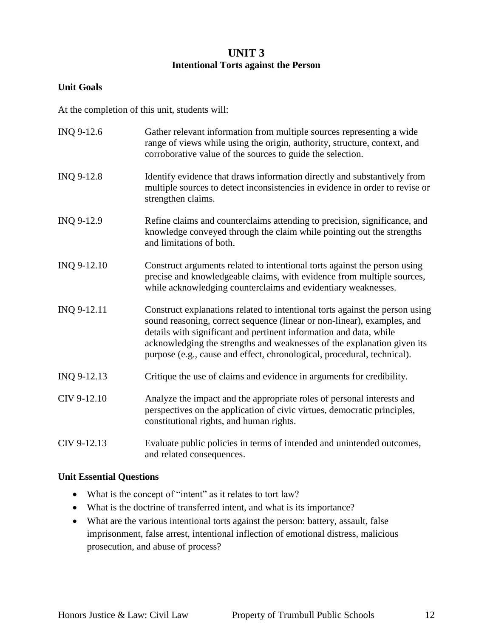## **UNIT 3 Intentional Torts against the Person**

## **Unit Goals**

At the completion of this unit, students will:

| INQ 9-12.6  | Gather relevant information from multiple sources representing a wide<br>range of views while using the origin, authority, structure, context, and<br>corroborative value of the sources to guide the selection.                                                                                                                                                                    |
|-------------|-------------------------------------------------------------------------------------------------------------------------------------------------------------------------------------------------------------------------------------------------------------------------------------------------------------------------------------------------------------------------------------|
| INQ 9-12.8  | Identify evidence that draws information directly and substantively from<br>multiple sources to detect inconsistencies in evidence in order to revise or<br>strengthen claims.                                                                                                                                                                                                      |
| INQ 9-12.9  | Refine claims and counterclaims attending to precision, significance, and<br>knowledge conveyed through the claim while pointing out the strengths<br>and limitations of both.                                                                                                                                                                                                      |
| INQ 9-12.10 | Construct arguments related to intentional torts against the person using<br>precise and knowledgeable claims, with evidence from multiple sources,<br>while acknowledging counterclaims and evidentiary weaknesses.                                                                                                                                                                |
| INQ 9-12.11 | Construct explanations related to intentional torts against the person using<br>sound reasoning, correct sequence (linear or non-linear), examples, and<br>details with significant and pertinent information and data, while<br>acknowledging the strengths and weaknesses of the explanation given its<br>purpose (e.g., cause and effect, chronological, procedural, technical). |
| INQ 9-12.13 | Critique the use of claims and evidence in arguments for credibility.                                                                                                                                                                                                                                                                                                               |
| CIV 9-12.10 | Analyze the impact and the appropriate roles of personal interests and<br>perspectives on the application of civic virtues, democratic principles,<br>constitutional rights, and human rights.                                                                                                                                                                                      |
| CIV 9-12.13 | Evaluate public policies in terms of intended and unintended outcomes,<br>and related consequences.                                                                                                                                                                                                                                                                                 |

#### **Unit Essential Questions**

- What is the concept of "intent" as it relates to tort law?
- What is the doctrine of transferred intent, and what is its importance?
- What are the various intentional torts against the person: battery, assault, false imprisonment, false arrest, intentional inflection of emotional distress, malicious prosecution, and abuse of process?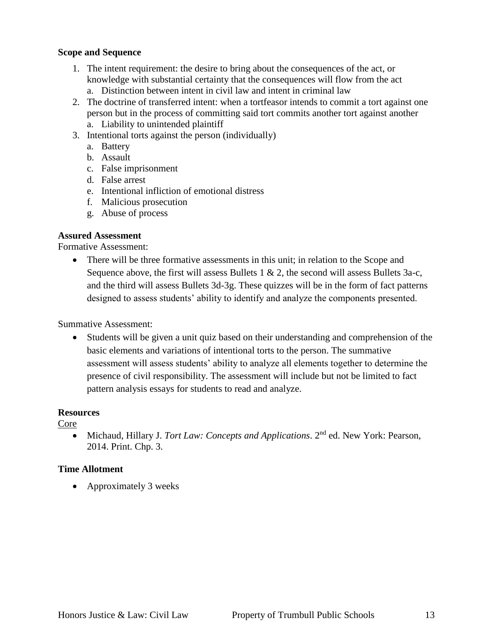#### **Scope and Sequence**

- 1. The intent requirement: the desire to bring about the consequences of the act, or knowledge with substantial certainty that the consequences will flow from the act a. Distinction between intent in civil law and intent in criminal law
- 2. The doctrine of transferred intent: when a tortfeasor intends to commit a tort against one person but in the process of committing said tort commits another tort against another
	- a. Liability to unintended plaintiff
- 3. Intentional torts against the person (individually)
	- a. Battery
	- b. Assault
	- c. False imprisonment
	- d. False arrest
	- e. Intentional infliction of emotional distress
	- f. Malicious prosecution
	- g. Abuse of process

#### **Assured Assessment**

Formative Assessment:

• There will be three formative assessments in this unit; in relation to the Scope and Sequence above, the first will assess Bullets 1  $\&$  2, the second will assess Bullets 3a-c, and the third will assess Bullets 3d-3g. These quizzes will be in the form of fact patterns designed to assess students' ability to identify and analyze the components presented.

#### Summative Assessment:

 Students will be given a unit quiz based on their understanding and comprehension of the basic elements and variations of intentional torts to the person. The summative assessment will assess students' ability to analyze all elements together to determine the presence of civil responsibility. The assessment will include but not be limited to fact pattern analysis essays for students to read and analyze.

#### **Resources**

Core

 Michaud, Hillary J. *Tort Law: Concepts and Applications*. 2nd ed. New York: Pearson, 2014. Print. Chp. 3.

#### **Time Allotment**

• Approximately 3 weeks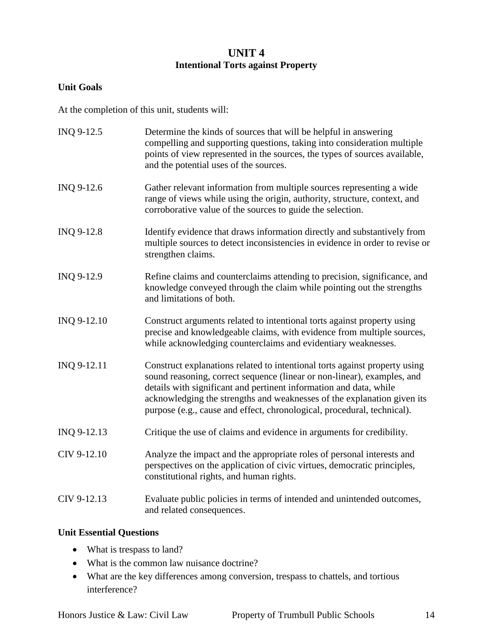## **UNIT 4 Intentional Torts against Property**

## **Unit Goals**

At the completion of this unit, students will:

| INQ 9-12.5  | Determine the kinds of sources that will be helpful in answering<br>compelling and supporting questions, taking into consideration multiple<br>points of view represented in the sources, the types of sources available,<br>and the potential uses of the sources.                                                                                                               |
|-------------|-----------------------------------------------------------------------------------------------------------------------------------------------------------------------------------------------------------------------------------------------------------------------------------------------------------------------------------------------------------------------------------|
| INQ 9-12.6  | Gather relevant information from multiple sources representing a wide<br>range of views while using the origin, authority, structure, context, and<br>corroborative value of the sources to guide the selection.                                                                                                                                                                  |
| INQ 9-12.8  | Identify evidence that draws information directly and substantively from<br>multiple sources to detect inconsistencies in evidence in order to revise or<br>strengthen claims.                                                                                                                                                                                                    |
| INQ 9-12.9  | Refine claims and counterclaims attending to precision, significance, and<br>knowledge conveyed through the claim while pointing out the strengths<br>and limitations of both.                                                                                                                                                                                                    |
| INQ 9-12.10 | Construct arguments related to intentional torts against property using<br>precise and knowledgeable claims, with evidence from multiple sources,<br>while acknowledging counterclaims and evidentiary weaknesses.                                                                                                                                                                |
| INQ 9-12.11 | Construct explanations related to intentional torts against property using<br>sound reasoning, correct sequence (linear or non-linear), examples, and<br>details with significant and pertinent information and data, while<br>acknowledging the strengths and weaknesses of the explanation given its<br>purpose (e.g., cause and effect, chronological, procedural, technical). |
| INQ 9-12.13 | Critique the use of claims and evidence in arguments for credibility.                                                                                                                                                                                                                                                                                                             |
| CIV 9-12.10 | Analyze the impact and the appropriate roles of personal interests and<br>perspectives on the application of civic virtues, democratic principles,<br>constitutional rights, and human rights.                                                                                                                                                                                    |
| CIV 9-12.13 | Evaluate public policies in terms of intended and unintended outcomes,<br>and related consequences.                                                                                                                                                                                                                                                                               |

## **Unit Essential Questions**

- What is trespass to land?
- What is the common law nuisance doctrine?
- What are the key differences among conversion, trespass to chattels, and tortious interference?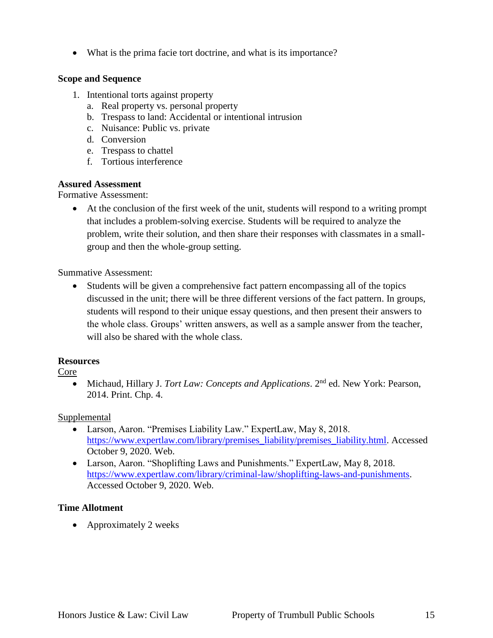What is the prima facie tort doctrine, and what is its importance?

## **Scope and Sequence**

- 1. Intentional torts against property
	- a. Real property vs. personal property
	- b. Trespass to land: Accidental or intentional intrusion
	- c. Nuisance: Public vs. private
	- d. Conversion
	- e. Trespass to chattel
	- f. Tortious interference

## **Assured Assessment**

Formative Assessment:

 At the conclusion of the first week of the unit, students will respond to a writing prompt that includes a problem-solving exercise. Students will be required to analyze the problem, write their solution, and then share their responses with classmates in a smallgroup and then the whole-group setting.

Summative Assessment:

 Students will be given a comprehensive fact pattern encompassing all of the topics discussed in the unit; there will be three different versions of the fact pattern. In groups, students will respond to their unique essay questions, and then present their answers to the whole class. Groups' written answers, as well as a sample answer from the teacher, will also be shared with the whole class.

## **Resources**

#### Core

 Michaud, Hillary J. *Tort Law: Concepts and Applications*. 2nd ed. New York: Pearson, 2014. Print. Chp. 4.

## Supplemental

- Larson, Aaron. "Premises Liability Law." ExpertLaw, May 8, 2018. [https://www.expertlaw.com/library/premises\\_liability/premises\\_liability.html.](https://www.expertlaw.com/library/premises_liability/premises_liability.html) Accessed October 9, 2020. Web.
- Larson, Aaron. "Shoplifting Laws and Punishments." ExpertLaw, May 8, 2018. [https://www.expertlaw.com/library/criminal-law/shoplifting-laws-and-punishments.](https://www.expertlaw.com/library/criminal-law/shoplifting-laws-and-punishments) Accessed October 9, 2020. Web.

## **Time Allotment**

• Approximately 2 weeks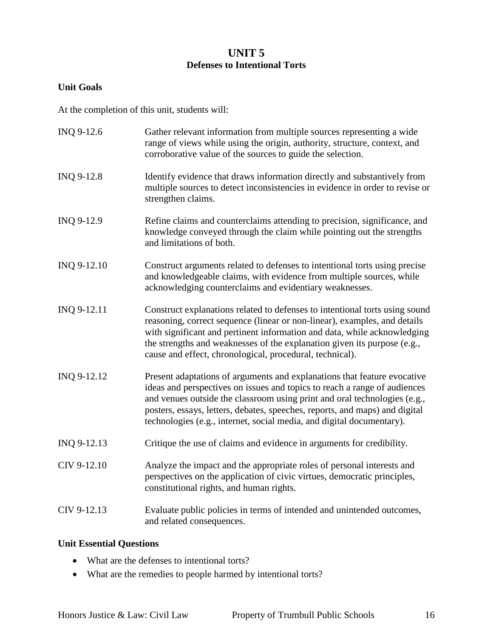## **UNIT 5 Defenses to Intentional Torts**

## **Unit Goals**

At the completion of this unit, students will:

| INQ 9-12.6  | Gather relevant information from multiple sources representing a wide<br>range of views while using the origin, authority, structure, context, and<br>corroborative value of the sources to guide the selection.                                                                                                                                                                           |
|-------------|--------------------------------------------------------------------------------------------------------------------------------------------------------------------------------------------------------------------------------------------------------------------------------------------------------------------------------------------------------------------------------------------|
| INQ 9-12.8  | Identify evidence that draws information directly and substantively from<br>multiple sources to detect inconsistencies in evidence in order to revise or<br>strengthen claims.                                                                                                                                                                                                             |
| INQ 9-12.9  | Refine claims and counterclaims attending to precision, significance, and<br>knowledge conveyed through the claim while pointing out the strengths<br>and limitations of both.                                                                                                                                                                                                             |
| INQ 9-12.10 | Construct arguments related to defenses to intentional torts using precise<br>and knowledgeable claims, with evidence from multiple sources, while<br>acknowledging counterclaims and evidentiary weaknesses.                                                                                                                                                                              |
| INQ 9-12.11 | Construct explanations related to defenses to intentional torts using sound<br>reasoning, correct sequence (linear or non-linear), examples, and details<br>with significant and pertinent information and data, while acknowledging<br>the strengths and weaknesses of the explanation given its purpose (e.g.,<br>cause and effect, chronological, procedural, technical).               |
| INQ 9-12.12 | Present adaptations of arguments and explanations that feature evocative<br>ideas and perspectives on issues and topics to reach a range of audiences<br>and venues outside the classroom using print and oral technologies (e.g.,<br>posters, essays, letters, debates, speeches, reports, and maps) and digital<br>technologies (e.g., internet, social media, and digital documentary). |
| INQ 9-12.13 | Critique the use of claims and evidence in arguments for credibility.                                                                                                                                                                                                                                                                                                                      |
| CIV 9-12.10 | Analyze the impact and the appropriate roles of personal interests and<br>perspectives on the application of civic virtues, democratic principles,<br>constitutional rights, and human rights.                                                                                                                                                                                             |
| CIV 9-12.13 | Evaluate public policies in terms of intended and unintended outcomes,<br>and related consequences.                                                                                                                                                                                                                                                                                        |

## **Unit Essential Questions**

- What are the defenses to intentional torts?
- What are the remedies to people harmed by intentional torts?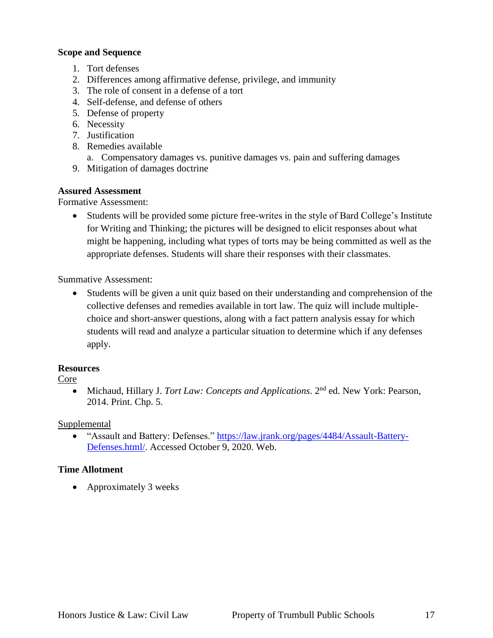#### **Scope and Sequence**

- 1. Tort defenses
- 2. Differences among affirmative defense, privilege, and immunity
- 3. The role of consent in a defense of a tort
- 4. Self-defense, and defense of others
- 5. Defense of property
- 6. Necessity
- 7. Justification
- 8. Remedies available
	- a. Compensatory damages vs. punitive damages vs. pain and suffering damages
- 9. Mitigation of damages doctrine

#### **Assured Assessment**

Formative Assessment:

 Students will be provided some picture free-writes in the style of Bard College's Institute for Writing and Thinking; the pictures will be designed to elicit responses about what might be happening, including what types of torts may be being committed as well as the appropriate defenses. Students will share their responses with their classmates.

Summative Assessment:

 Students will be given a unit quiz based on their understanding and comprehension of the collective defenses and remedies available in tort law. The quiz will include multiplechoice and short-answer questions, along with a fact pattern analysis essay for which students will read and analyze a particular situation to determine which if any defenses apply.

#### **Resources**

#### Core

 Michaud, Hillary J. *Tort Law: Concepts and Applications*. 2nd ed. New York: Pearson, 2014. Print. Chp. 5.

#### Supplemental

 "Assault and Battery: Defenses." [https://law.jrank.org/pages/4484/Assault-Battery-](https://law.jrank.org/pages/4484/Assault-Battery-Defenses.html/)[Defenses.html/.](https://law.jrank.org/pages/4484/Assault-Battery-Defenses.html/) Accessed October 9, 2020. Web.

## **Time Allotment**

Approximately 3 weeks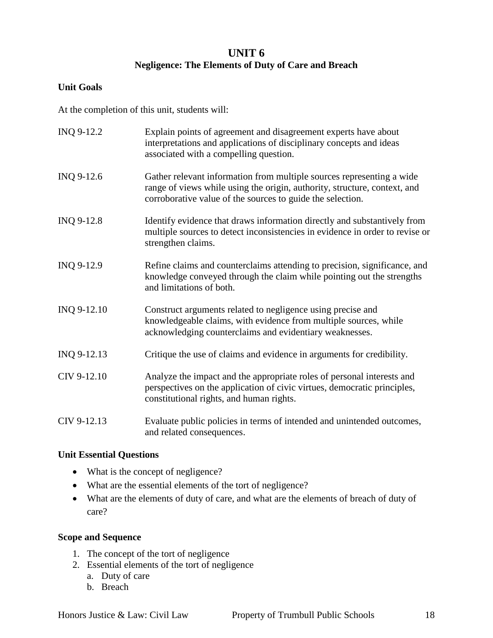## **UNIT 6 Negligence: The Elements of Duty of Care and Breach**

## **Unit Goals**

At the completion of this unit, students will:

| INQ 9-12.2  | Explain points of agreement and disagreement experts have about<br>interpretations and applications of disciplinary concepts and ideas<br>associated with a compelling question.                                 |
|-------------|------------------------------------------------------------------------------------------------------------------------------------------------------------------------------------------------------------------|
| INQ 9-12.6  | Gather relevant information from multiple sources representing a wide<br>range of views while using the origin, authority, structure, context, and<br>corroborative value of the sources to guide the selection. |
| INQ 9-12.8  | Identify evidence that draws information directly and substantively from<br>multiple sources to detect inconsistencies in evidence in order to revise or<br>strengthen claims.                                   |
| INQ 9-12.9  | Refine claims and counterclaims attending to precision, significance, and<br>knowledge conveyed through the claim while pointing out the strengths<br>and limitations of both.                                   |
| INQ 9-12.10 | Construct arguments related to negligence using precise and<br>knowledgeable claims, with evidence from multiple sources, while<br>acknowledging counterclaims and evidentiary weaknesses.                       |
| INQ 9-12.13 | Critique the use of claims and evidence in arguments for credibility.                                                                                                                                            |
| CIV 9-12.10 | Analyze the impact and the appropriate roles of personal interests and<br>perspectives on the application of civic virtues, democratic principles,<br>constitutional rights, and human rights.                   |
| CIV 9-12.13 | Evaluate public policies in terms of intended and unintended outcomes,<br>and related consequences.                                                                                                              |

#### **Unit Essential Questions**

- What is the concept of negligence?
- What are the essential elements of the tort of negligence?
- What are the elements of duty of care, and what are the elements of breach of duty of care?

## **Scope and Sequence**

- 1. The concept of the tort of negligence
- 2. Essential elements of the tort of negligence
	- a. Duty of care
	- b. Breach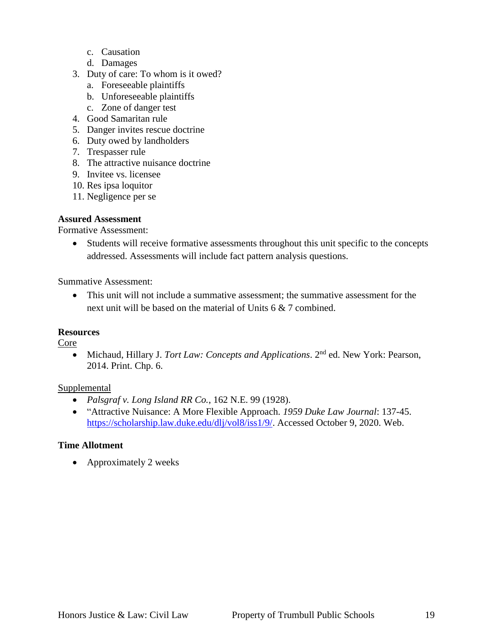- c. Causation
- d. Damages
- 3. Duty of care: To whom is it owed?
	- a. Foreseeable plaintiffs
	- b. Unforeseeable plaintiffs
	- c. Zone of danger test
- 4. Good Samaritan rule
- 5. Danger invites rescue doctrine
- 6. Duty owed by landholders
- 7. Trespasser rule
- 8. The attractive nuisance doctrine
- 9. Invitee vs. licensee
- 10. Res ipsa loquitor
- 11. Negligence per se

#### **Assured Assessment**

Formative Assessment:

 Students will receive formative assessments throughout this unit specific to the concepts addressed. Assessments will include fact pattern analysis questions.

Summative Assessment:

 This unit will not include a summative assessment; the summative assessment for the next unit will be based on the material of Units 6 & 7 combined.

#### **Resources**

Core

 Michaud, Hillary J. *Tort Law: Concepts and Applications*. 2nd ed. New York: Pearson, 2014. Print. Chp. 6.

#### **Supplemental**

- *Palsgraf v. Long Island RR Co.*, 162 N.E. 99 (1928).
- "Attractive Nuisance: A More Flexible Approach. *1959 Duke Law Journal*: 137-45. [https://scholarship.law.duke.edu/dlj/vol8/iss1/9/.](https://scholarship.law.duke.edu/dlj/vol8/iss1/9/) Accessed October 9, 2020. Web.

#### **Time Allotment**

• Approximately 2 weeks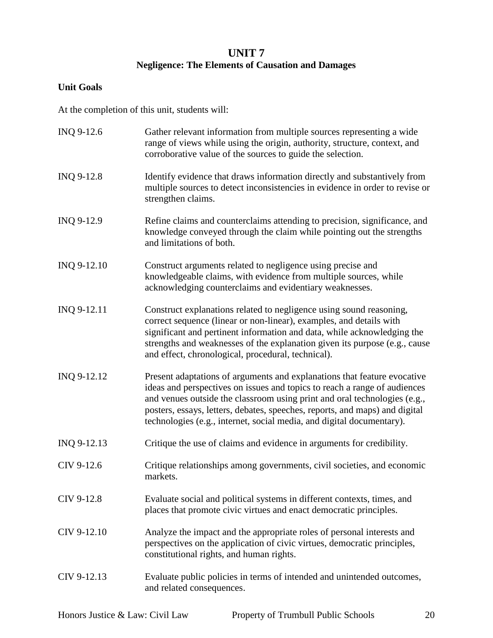## **UNIT 7 Negligence: The Elements of Causation and Damages**

## **Unit Goals**

At the completion of this unit, students will:

| INQ 9-12.6  | Gather relevant information from multiple sources representing a wide<br>range of views while using the origin, authority, structure, context, and<br>corroborative value of the sources to guide the selection.                                                                                                                                                                           |
|-------------|--------------------------------------------------------------------------------------------------------------------------------------------------------------------------------------------------------------------------------------------------------------------------------------------------------------------------------------------------------------------------------------------|
| INQ 9-12.8  | Identify evidence that draws information directly and substantively from<br>multiple sources to detect inconsistencies in evidence in order to revise or<br>strengthen claims.                                                                                                                                                                                                             |
| INQ 9-12.9  | Refine claims and counterclaims attending to precision, significance, and<br>knowledge conveyed through the claim while pointing out the strengths<br>and limitations of both.                                                                                                                                                                                                             |
| INQ 9-12.10 | Construct arguments related to negligence using precise and<br>knowledgeable claims, with evidence from multiple sources, while<br>acknowledging counterclaims and evidentiary weaknesses.                                                                                                                                                                                                 |
| INQ 9-12.11 | Construct explanations related to negligence using sound reasoning,<br>correct sequence (linear or non-linear), examples, and details with<br>significant and pertinent information and data, while acknowledging the<br>strengths and weaknesses of the explanation given its purpose (e.g., cause<br>and effect, chronological, procedural, technical).                                  |
| INQ 9-12.12 | Present adaptations of arguments and explanations that feature evocative<br>ideas and perspectives on issues and topics to reach a range of audiences<br>and venues outside the classroom using print and oral technologies (e.g.,<br>posters, essays, letters, debates, speeches, reports, and maps) and digital<br>technologies (e.g., internet, social media, and digital documentary). |
| INQ 9-12.13 | Critique the use of claims and evidence in arguments for credibility.                                                                                                                                                                                                                                                                                                                      |
| CIV 9-12.6  | Critique relationships among governments, civil societies, and economic<br>markets.                                                                                                                                                                                                                                                                                                        |
| CIV 9-12.8  | Evaluate social and political systems in different contexts, times, and<br>places that promote civic virtues and enact democratic principles.                                                                                                                                                                                                                                              |
| CIV 9-12.10 | Analyze the impact and the appropriate roles of personal interests and<br>perspectives on the application of civic virtues, democratic principles,<br>constitutional rights, and human rights.                                                                                                                                                                                             |
| CIV 9-12.13 | Evaluate public policies in terms of intended and unintended outcomes,<br>and related consequences.                                                                                                                                                                                                                                                                                        |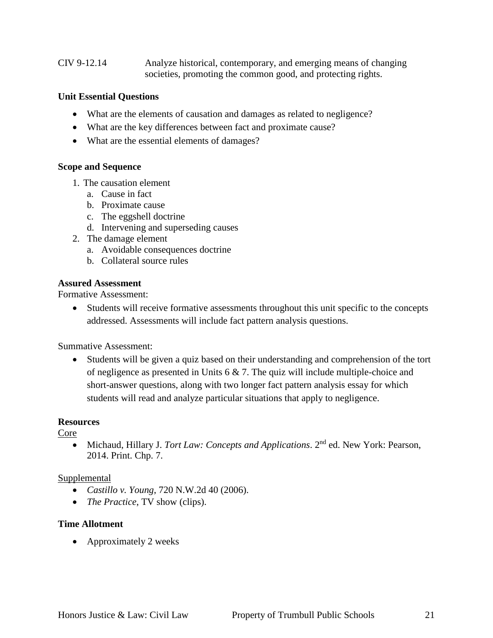CIV 9-12.14 Analyze historical, contemporary, and emerging means of changing societies, promoting the common good, and protecting rights.

#### **Unit Essential Questions**

- What are the elements of causation and damages as related to negligence?
- What are the key differences between fact and proximate cause?
- What are the essential elements of damages?

#### **Scope and Sequence**

- 1. The causation element
	- a. Cause in fact
	- b. Proximate cause
	- c. The eggshell doctrine
	- d. Intervening and superseding causes
- 2. The damage element
	- a. Avoidable consequences doctrine
	- b. Collateral source rules

#### **Assured Assessment**

Formative Assessment:

 Students will receive formative assessments throughout this unit specific to the concepts addressed. Assessments will include fact pattern analysis questions.

Summative Assessment:

 Students will be given a quiz based on their understanding and comprehension of the tort of negligence as presented in Units 6 & 7. The quiz will include multiple-choice and short-answer questions, along with two longer fact pattern analysis essay for which students will read and analyze particular situations that apply to negligence.

#### **Resources**

Core

 Michaud, Hillary J. *Tort Law: Concepts and Applications*. 2nd ed. New York: Pearson, 2014. Print. Chp. 7.

#### Supplemental

- *Castillo v. Young*, 720 N.W.2d 40 (2006).
- *The Practice*, TV show (clips).

#### **Time Allotment**

• Approximately 2 weeks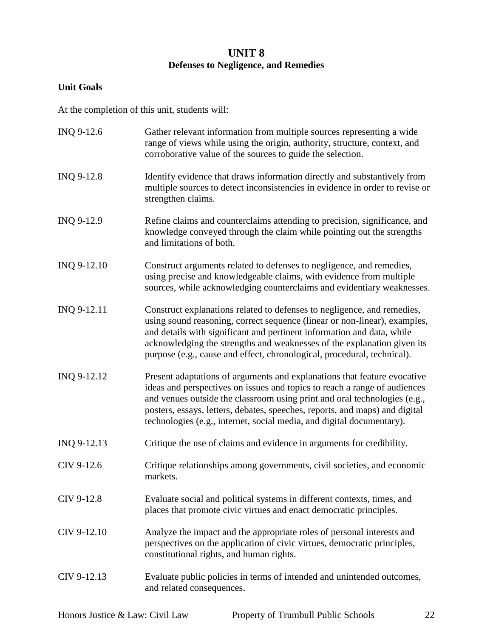## **UNIT 8 Defenses to Negligence, and Remedies**

## **Unit Goals**

At the completion of this unit, students will:

| INQ 9-12.6  | Gather relevant information from multiple sources representing a wide<br>range of views while using the origin, authority, structure, context, and<br>corroborative value of the sources to guide the selection.                                                                                                                                                                           |
|-------------|--------------------------------------------------------------------------------------------------------------------------------------------------------------------------------------------------------------------------------------------------------------------------------------------------------------------------------------------------------------------------------------------|
| INQ 9-12.8  | Identify evidence that draws information directly and substantively from<br>multiple sources to detect inconsistencies in evidence in order to revise or<br>strengthen claims.                                                                                                                                                                                                             |
| INQ 9-12.9  | Refine claims and counterclaims attending to precision, significance, and<br>knowledge conveyed through the claim while pointing out the strengths<br>and limitations of both.                                                                                                                                                                                                             |
| INQ 9-12.10 | Construct arguments related to defenses to negligence, and remedies,<br>using precise and knowledgeable claims, with evidence from multiple<br>sources, while acknowledging counterclaims and evidentiary weaknesses.                                                                                                                                                                      |
| INQ 9-12.11 | Construct explanations related to defenses to negligence, and remedies,<br>using sound reasoning, correct sequence (linear or non-linear), examples,<br>and details with significant and pertinent information and data, while<br>acknowledging the strengths and weaknesses of the explanation given its<br>purpose (e.g., cause and effect, chronological, procedural, technical).       |
| INQ 9-12.12 | Present adaptations of arguments and explanations that feature evocative<br>ideas and perspectives on issues and topics to reach a range of audiences<br>and venues outside the classroom using print and oral technologies (e.g.,<br>posters, essays, letters, debates, speeches, reports, and maps) and digital<br>technologies (e.g., internet, social media, and digital documentary). |
| INQ 9-12.13 | Critique the use of claims and evidence in arguments for credibility.                                                                                                                                                                                                                                                                                                                      |
| CIV 9-12.6  | Critique relationships among governments, civil societies, and economic<br>markets.                                                                                                                                                                                                                                                                                                        |
| CIV 9-12.8  | Evaluate social and political systems in different contexts, times, and<br>places that promote civic virtues and enact democratic principles.                                                                                                                                                                                                                                              |
| CIV 9-12.10 | Analyze the impact and the appropriate roles of personal interests and<br>perspectives on the application of civic virtues, democratic principles,<br>constitutional rights, and human rights.                                                                                                                                                                                             |
| CIV 9-12.13 | Evaluate public policies in terms of intended and unintended outcomes,<br>and related consequences.                                                                                                                                                                                                                                                                                        |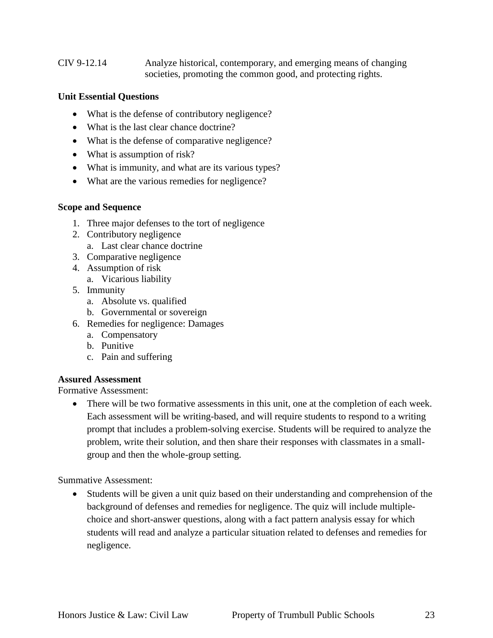#### CIV 9-12.14 Analyze historical, contemporary, and emerging means of changing societies, promoting the common good, and protecting rights.

#### **Unit Essential Questions**

- What is the defense of contributory negligence?
- What is the last clear chance doctrine?
- What is the defense of comparative negligence?
- What is assumption of risk?
- What is immunity, and what are its various types?
- What are the various remedies for negligence?

#### **Scope and Sequence**

- 1. Three major defenses to the tort of negligence
- 2. Contributory negligence
	- a. Last clear chance doctrine
- 3. Comparative negligence
- 4. Assumption of risk
	- a. Vicarious liability
- 5. Immunity
	- a. Absolute vs. qualified
	- b. Governmental or sovereign
- 6. Remedies for negligence: Damages
	- a. Compensatory
	- b. Punitive
	- c. Pain and suffering

#### **Assured Assessment**

Formative Assessment:

 There will be two formative assessments in this unit, one at the completion of each week. Each assessment will be writing-based, and will require students to respond to a writing prompt that includes a problem-solving exercise. Students will be required to analyze the problem, write their solution, and then share their responses with classmates in a smallgroup and then the whole-group setting.

Summative Assessment:

 Students will be given a unit quiz based on their understanding and comprehension of the background of defenses and remedies for negligence. The quiz will include multiplechoice and short-answer questions, along with a fact pattern analysis essay for which students will read and analyze a particular situation related to defenses and remedies for negligence.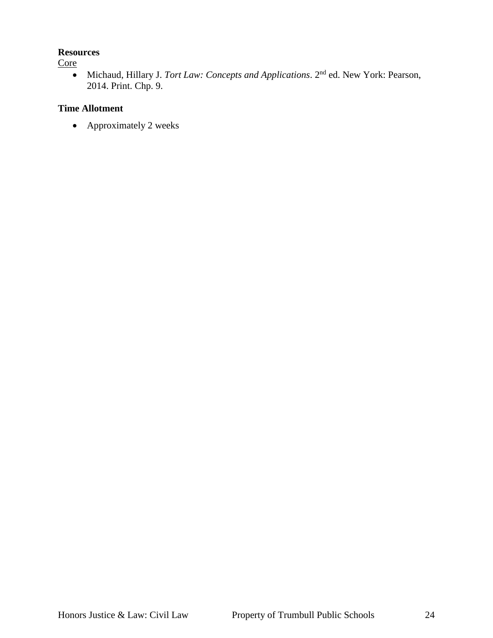#### **Resources**

## **Core**

 Michaud, Hillary J. *Tort Law: Concepts and Applications*. 2nd ed. New York: Pearson, 2014. Print. Chp. 9.

## **Time Allotment**

• Approximately 2 weeks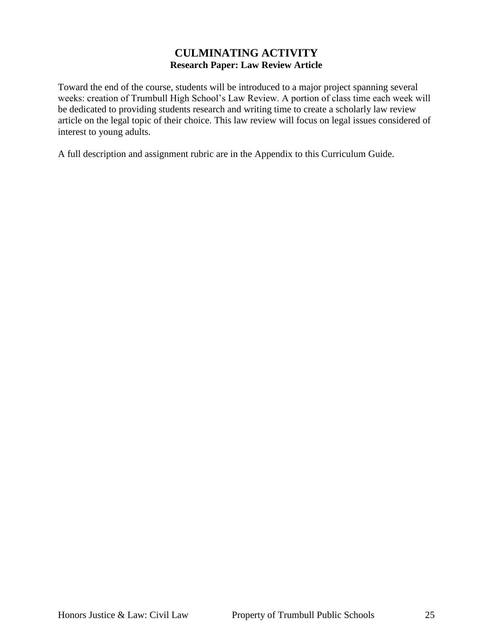## **CULMINATING ACTIVITY Research Paper: Law Review Article**

Toward the end of the course, students will be introduced to a major project spanning several weeks: creation of Trumbull High School's Law Review. A portion of class time each week will be dedicated to providing students research and writing time to create a scholarly law review article on the legal topic of their choice. This law review will focus on legal issues considered of interest to young adults.

A full description and assignment rubric are in the Appendix to this Curriculum Guide.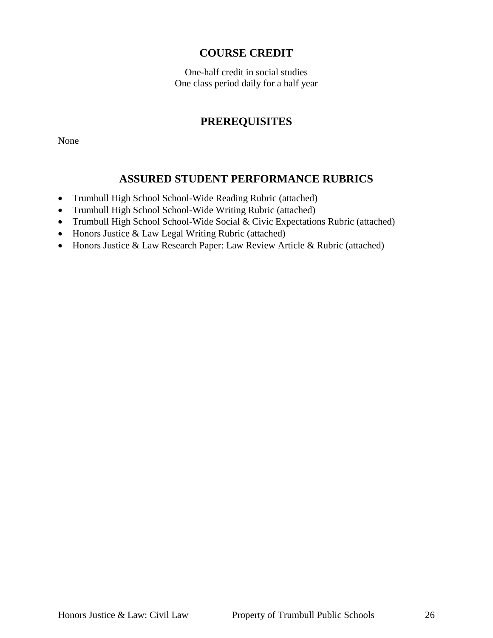## **COURSE CREDIT**

One-half credit in social studies One class period daily for a half year

# **PREREQUISITES**

None

# **ASSURED STUDENT PERFORMANCE RUBRICS**

- Trumbull High School School-Wide Reading Rubric (attached)
- Trumbull High School School-Wide Writing Rubric (attached)
- Trumbull High School School-Wide Social & Civic Expectations Rubric (attached)
- Honors Justice & Law Legal Writing Rubric (attached)
- Honors Justice & Law Research Paper: Law Review Article & Rubric (attached)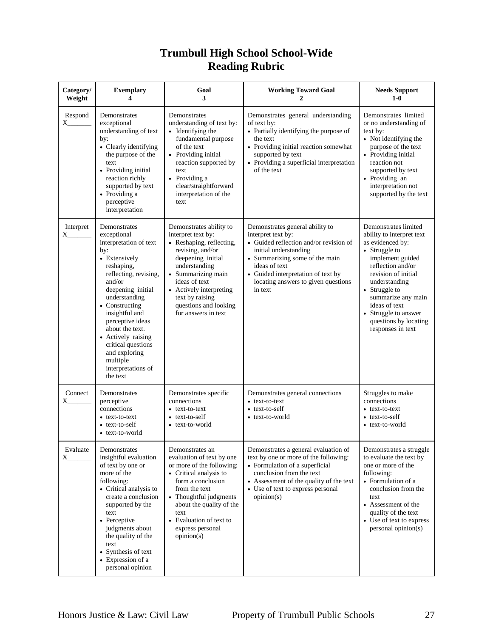# **Trumbull High School School-Wide Reading Rubric**

| Category/<br>Weight | <b>Exemplary</b><br>4                                                                                                                                                                                                                                                                                                                                      | Goal<br>3                                                                                                                                                                                                                                                                | <b>Working Toward Goal</b><br>2                                                                                                                                                                                                                                     | <b>Needs Support</b><br>$1-0$                                                                                                                                                                                                                                                                         |
|---------------------|------------------------------------------------------------------------------------------------------------------------------------------------------------------------------------------------------------------------------------------------------------------------------------------------------------------------------------------------------------|--------------------------------------------------------------------------------------------------------------------------------------------------------------------------------------------------------------------------------------------------------------------------|---------------------------------------------------------------------------------------------------------------------------------------------------------------------------------------------------------------------------------------------------------------------|-------------------------------------------------------------------------------------------------------------------------------------------------------------------------------------------------------------------------------------------------------------------------------------------------------|
| Respond<br>X_       | Demonstrates<br>exceptional<br>understanding of text<br>by:<br>• Clearly identifying<br>the purpose of the<br>text<br>• Providing initial<br>reaction richly<br>supported by text<br>• Providing a<br>perceptive<br>interpretation                                                                                                                         | Demonstrates<br>understanding of text by:<br>• Identifying the<br>fundamental purpose<br>of the text<br>• Providing initial<br>reaction supported by<br>text<br>• Providing a<br>clear/straightforward<br>interpretation of the<br>text                                  | Demonstrates general understanding<br>of text by:<br>• Partially identifying the purpose of<br>the text<br>• Providing initial reaction somewhat<br>supported by text<br>• Providing a superficial interpretation<br>of the text                                    | Demonstrates limited<br>or no understanding of<br>text by:<br>• Not identifying the<br>purpose of the text<br>• Providing initial<br>reaction not<br>supported by text<br>· Providing an<br>interpretation not<br>supported by the text                                                               |
| Interpret<br>X      | Demonstrates<br>exceptional<br>interpretation of text<br>by:<br>• Extensively<br>reshaping,<br>reflecting, revising,<br>and/or<br>deepening initial<br>understanding<br>• Constructing<br>insightful and<br>perceptive ideas<br>about the text.<br>• Actively raising<br>critical questions<br>and exploring<br>multiple<br>interpretations of<br>the text | Demonstrates ability to<br>interpret text by:<br>• Reshaping, reflecting,<br>revising, and/or<br>deepening initial<br>understanding<br>• Summarizing main<br>ideas of text<br>• Actively interpreting<br>text by raising<br>questions and looking<br>for answers in text | Demonstrates general ability to<br>interpret text by:<br>• Guided reflection and/or revision of<br>initial understanding<br>• Summarizing some of the main<br>ideas of text<br>• Guided interpretation of text by<br>locating answers to given questions<br>in text | Demonstrates limited<br>ability to interpret text<br>as evidenced by:<br>• Struggle to<br>implement guided<br>reflection and/or<br>revision of initial<br>understanding<br>• Struggle to<br>summarize any main<br>ideas of text<br>• Struggle to answer<br>questions by locating<br>responses in text |
| Connect<br>X.       | Demonstrates<br>perceptive<br>connections<br>• text-to-text<br>• text-to-self<br>• text-to-world                                                                                                                                                                                                                                                           | Demonstrates specific<br>connections<br>• text-to-text<br>• text-to-self<br>• text-to-world                                                                                                                                                                              | Demonstrates general connections<br>• text-to-text<br>• text-to-self<br>• text-to-world                                                                                                                                                                             | Struggles to make<br>connections<br>• text-to-text<br>• text-to-self<br>• text-to-world                                                                                                                                                                                                               |
| Evaluate<br>X       | Demonstrates<br>insightful evaluation<br>of text by one or<br>more of the<br>following:<br>• Critical analysis to<br>create a conclusion<br>supported by the<br>text<br>• Perceptive<br>judgments about<br>the quality of the<br>text<br>• Synthesis of text<br>• Expression of a<br>personal opinion                                                      | Demonstrates an<br>evaluation of text by one<br>or more of the following:<br>• Critical analysis to<br>form a conclusion<br>from the text<br>• Thoughtful judgments<br>about the quality of the<br>text<br>• Evaluation of text to<br>express personal<br>opinion(s)     | Demonstrates a general evaluation of<br>text by one or more of the following:<br>• Formulation of a superficial<br>conclusion from the text<br>• Assessment of the quality of the text<br>• Use of text to express personal<br>opinion(s)                           | Demonstrates a struggle<br>to evaluate the text by<br>one or more of the<br>following:<br>• Formulation of a<br>conclusion from the<br>text<br>• Assessment of the<br>quality of the text<br>• Use of text to express<br>personal opinion(s)                                                          |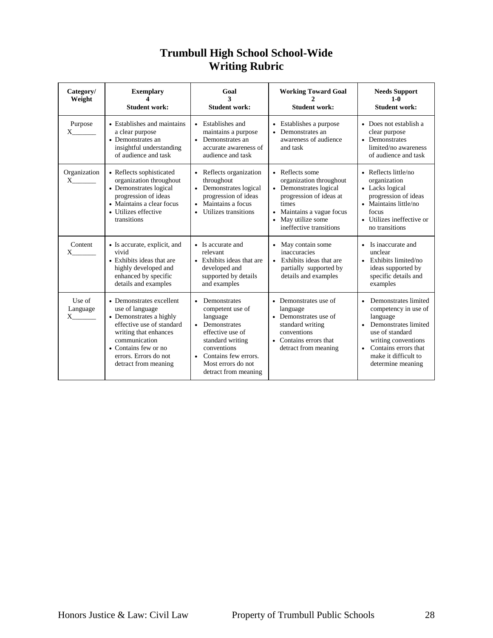| Category/<br>Weight            | <b>Exemplary</b><br><b>Student work:</b>                                                                                                                                                                               | Goal<br>3<br><b>Student work:</b>                                                                                                                                                                          | <b>Working Toward Goal</b><br><b>Student work:</b>                                                                                                                                     | <b>Needs Support</b><br>$1-0$<br><b>Student work:</b>                                                                                                                                                          |
|--------------------------------|------------------------------------------------------------------------------------------------------------------------------------------------------------------------------------------------------------------------|------------------------------------------------------------------------------------------------------------------------------------------------------------------------------------------------------------|----------------------------------------------------------------------------------------------------------------------------------------------------------------------------------------|----------------------------------------------------------------------------------------------------------------------------------------------------------------------------------------------------------------|
| Purpose<br>X.                  | • Establishes and maintains<br>a clear purpose<br>• Demonstrates an<br>insightful understanding<br>of audience and task                                                                                                | • Establishes and<br>maintains a purpose<br>• Demonstrates an<br>accurate awareness of<br>audience and task                                                                                                | • Establishes a purpose<br>• Demonstrates an<br>awareness of audience<br>and task                                                                                                      | • Does not establish a<br>clear purpose<br>• Demonstrates<br>limited/no awareness<br>of audience and task                                                                                                      |
| Organization<br>X.             | • Reflects sophisticated<br>organization throughout<br>• Demonstrates logical<br>progression of ideas<br>• Maintains a clear focus<br>• Utilizes effective<br>transitions                                              | • Reflects organization<br>throughout<br>• Demonstrates logical<br>progression of ideas<br>• Maintains a focus<br>Utilizes transitions                                                                     | • Reflects some<br>organization throughout<br>• Demonstrates logical<br>progression of ideas at<br>times<br>• Maintains a vague focus<br>• May utilize some<br>ineffective transitions | • Reflects little/no<br>organization<br>• Lacks logical<br>progression of ideas<br>• Maintains little/no<br>focus<br>• Utilizes ineffective or<br>no transitions                                               |
| Content<br>X.                  | • Is accurate, explicit, and<br>vivid<br>• Exhibits ideas that are<br>highly developed and<br>enhanced by specific<br>details and examples                                                                             | • Is accurate and<br>relevant<br>• Exhibits ideas that are<br>developed and<br>supported by details<br>and examples                                                                                        | • May contain some<br>inaccuracies<br>• Exhibits ideas that are<br>partially supported by<br>details and examples                                                                      | • Is inaccurate and<br>unclear<br>• Exhibits limited/no<br>ideas supported by<br>specific details and<br>examples                                                                                              |
| Use of<br>Language<br>$X \sim$ | • Demonstrates excellent<br>use of language<br>• Demonstrates a highly<br>effective use of standard<br>writing that enhances<br>communication<br>• Contains few or no<br>errors. Errors do not<br>detract from meaning | Demonstrates<br>$\bullet$<br>competent use of<br>language<br>• Demonstrates<br>effective use of<br>standard writing<br>conventions<br>• Contains few errors.<br>Most errors do not<br>detract from meaning | • Demonstrates use of<br>language<br>• Demonstrates use of<br>standard writing<br>conventions<br>• Contains errors that<br>detract from meaning                                        | Demonstrates limited<br>$\bullet$<br>competency in use of<br>language<br>Demonstrates limited<br>use of standard<br>writing conventions<br>• Contains errors that<br>make it difficult to<br>determine meaning |

# **Trumbull High School School-Wide Writing Rubric**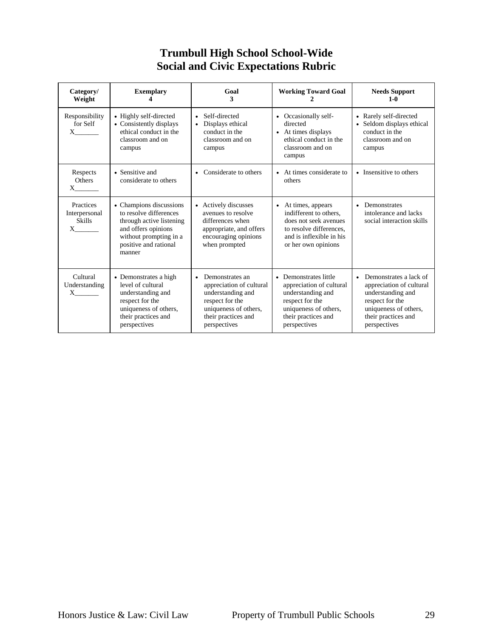# **Trumbull High School School-Wide Social and Civic Expectations Rubric**

| Category/<br>Weight                                     | <b>Exemplary</b>                                                                                                                                                  | Goal<br>3                                                                                                                                                        | <b>Working Toward Goal</b>                                                                                                                                      | <b>Needs Support</b><br>$1-0$                                                                                                                                           |
|---------------------------------------------------------|-------------------------------------------------------------------------------------------------------------------------------------------------------------------|------------------------------------------------------------------------------------------------------------------------------------------------------------------|-----------------------------------------------------------------------------------------------------------------------------------------------------------------|-------------------------------------------------------------------------------------------------------------------------------------------------------------------------|
| Responsibility<br>for Self<br>$X \qquad \qquad$         | • Highly self-directed<br>• Consistently displays<br>ethical conduct in the<br>classroom and on<br>campus                                                         | Self-directed<br>$\bullet$<br>Displays ethical<br>$\bullet$<br>conduct in the<br>classroom and on<br>campus                                                      | • Occasionally self-<br>directed<br>• At times displays<br>ethical conduct in the<br>classroom and on<br>campus                                                 | • Rarely self-directed<br>Seldom displays ethical<br>$\bullet$<br>conduct in the<br>classroom and on<br>campus                                                          |
| Respects<br>Others<br>$X \sim$                          | • Sensitive and<br>considerate to others                                                                                                                          | Considerate to others<br>$\bullet$                                                                                                                               | • At times considerate to<br>others                                                                                                                             | • Insensitive to others                                                                                                                                                 |
| Practices<br>Interpersonal<br><b>Skills</b><br>$X \sim$ | • Champions discussions<br>to resolve differences<br>through active listening<br>and offers opinions<br>without prompting in a<br>positive and rational<br>manner | • Actively discusses<br>avenues to resolve<br>differences when<br>appropriate, and offers<br>encouraging opinions<br>when prompted                               | At times, appears<br>$\bullet$<br>indifferent to others,<br>does not seek avenues<br>to resolve differences,<br>and is inflexible in his<br>or her own opinions | Demonstrates<br>$\bullet$<br>intolerance and lacks<br>social interaction skills                                                                                         |
| Cultural<br>Understanding<br>$X$ <sub>1</sub>           | • Demonstrates a high<br>level of cultural<br>understanding and<br>respect for the<br>uniqueness of others,<br>their practices and<br>perspectives                | Demonstrates an<br>$\bullet$<br>appreciation of cultural<br>understanding and<br>respect for the<br>uniqueness of others,<br>their practices and<br>perspectives | • Demonstrates little<br>appreciation of cultural<br>understanding and<br>respect for the<br>uniqueness of others,<br>their practices and<br>perspectives       | Demonstrates a lack of<br>$\bullet$<br>appreciation of cultural<br>understanding and<br>respect for the<br>uniqueness of others,<br>their practices and<br>perspectives |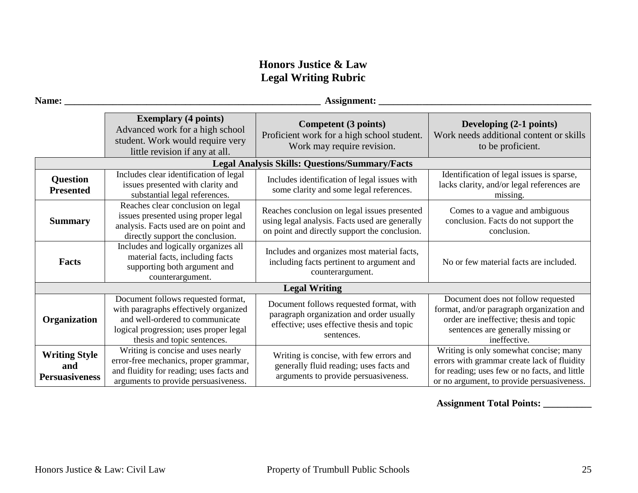# **Honors Justice & Law Legal Writing Rubric**

| Name:                                                | Assignment:                                                                                                                                                                             |                                                                                                                                                 |                                                                                                                                                                                      |  |  |
|------------------------------------------------------|-----------------------------------------------------------------------------------------------------------------------------------------------------------------------------------------|-------------------------------------------------------------------------------------------------------------------------------------------------|--------------------------------------------------------------------------------------------------------------------------------------------------------------------------------------|--|--|
|                                                      | <b>Exemplary (4 points)</b><br>Advanced work for a high school<br>student. Work would require very<br>little revision if any at all.                                                    | Competent (3 points)<br>Proficient work for a high school student.<br>Work may require revision.                                                | Developing (2-1 points)<br>Work needs additional content or skills<br>to be proficient.                                                                                              |  |  |
|                                                      |                                                                                                                                                                                         | <b>Legal Analysis Skills: Questions/Summary/Facts</b>                                                                                           |                                                                                                                                                                                      |  |  |
| <b>Question</b><br><b>Presented</b>                  | Includes clear identification of legal<br>issues presented with clarity and<br>substantial legal references.                                                                            | Includes identification of legal issues with<br>some clarity and some legal references.                                                         | Identification of legal issues is sparse,<br>lacks clarity, and/or legal references are<br>missing.                                                                                  |  |  |
| <b>Summary</b>                                       | Reaches clear conclusion on legal<br>issues presented using proper legal<br>analysis. Facts used are on point and<br>directly support the conclusion.                                   | Reaches conclusion on legal issues presented<br>using legal analysis. Facts used are generally<br>on point and directly support the conclusion. | Comes to a vague and ambiguous<br>conclusion. Facts do not support the<br>conclusion.                                                                                                |  |  |
| <b>Facts</b>                                         | Includes and logically organizes all<br>material facts, including facts<br>supporting both argument and<br>counterargument.                                                             | Includes and organizes most material facts,<br>including facts pertinent to argument and<br>counterargument.                                    | No or few material facts are included.                                                                                                                                               |  |  |
|                                                      |                                                                                                                                                                                         | <b>Legal Writing</b>                                                                                                                            |                                                                                                                                                                                      |  |  |
| Organization                                         | Document follows requested format,<br>with paragraphs effectively organized<br>and well-ordered to communicate<br>logical progression; uses proper legal<br>thesis and topic sentences. | Document follows requested format, with<br>paragraph organization and order usually<br>effective; uses effective thesis and topic<br>sentences. | Document does not follow requested<br>format, and/or paragraph organization and<br>order are ineffective; thesis and topic<br>sentences are generally missing or<br>ineffective.     |  |  |
| <b>Writing Style</b><br>and<br><b>Persuasiveness</b> | Writing is concise and uses nearly<br>error-free mechanics, proper grammar,<br>and fluidity for reading; uses facts and<br>arguments to provide persuasiveness.                         | Writing is concise, with few errors and<br>generally fluid reading; uses facts and<br>arguments to provide persuasiveness.                      | Writing is only somewhat concise; many<br>errors with grammar create lack of fluidity<br>for reading; uses few or no facts, and little<br>or no argument, to provide persuasiveness. |  |  |

**Assignment Total Points: \_\_\_\_\_\_\_\_\_\_**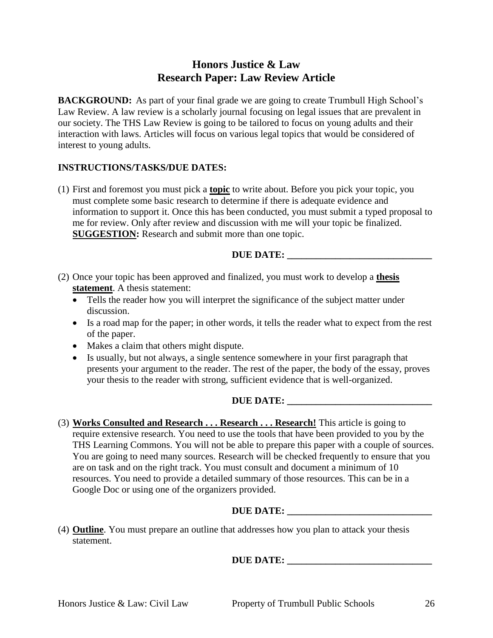# **Honors Justice & Law Research Paper: Law Review Article**

**BACKGROUND:** As part of your final grade we are going to create Trumbull High School's Law Review. A law review is a scholarly journal focusing on legal issues that are prevalent in our society. The THS Law Review is going to be tailored to focus on young adults and their interaction with laws. Articles will focus on various legal topics that would be considered of interest to young adults.

#### **INSTRUCTIONS/TASKS/DUE DATES:**

(1) First and foremost you must pick a **topic** to write about. Before you pick your topic, you must complete some basic research to determine if there is adequate evidence and information to support it. Once this has been conducted, you must submit a typed proposal to me for review. Only after review and discussion with me will your topic be finalized. **SUGGESTION:** Research and submit more than one topic.

#### **DUE DATE:**

- (2) Once your topic has been approved and finalized, you must work to develop a **thesis statement**. A thesis statement:
	- Tells the reader how you will interpret the significance of the subject matter under discussion.
	- Is a road map for the paper; in other words, it tells the reader what to expect from the rest of the paper.
	- Makes a claim that others might dispute.
	- Is usually, but not always, a single sentence somewhere in your first paragraph that presents your argument to the reader. The rest of the paper, the body of the essay, proves your thesis to the reader with strong, sufficient evidence that is well-organized.

#### **DUE DATE: \_\_\_\_\_\_\_\_\_\_\_\_\_\_\_\_\_\_\_\_\_\_\_\_\_\_\_\_\_\_**

(3) **Works Consulted and Research . . . Research . . . Research!** This article is going to require extensive research. You need to use the tools that have been provided to you by the THS Learning Commons. You will not be able to prepare this paper with a couple of sources. You are going to need many sources. Research will be checked frequently to ensure that you are on task and on the right track. You must consult and document a minimum of 10 resources. You need to provide a detailed summary of those resources. This can be in a Google Doc or using one of the organizers provided.

## **DUE DATE: \_\_\_\_\_\_\_\_\_\_\_\_\_\_\_\_\_\_\_\_\_\_\_\_\_\_\_\_\_\_**

(4) **Outline**. You must prepare an outline that addresses how you plan to attack your thesis statement.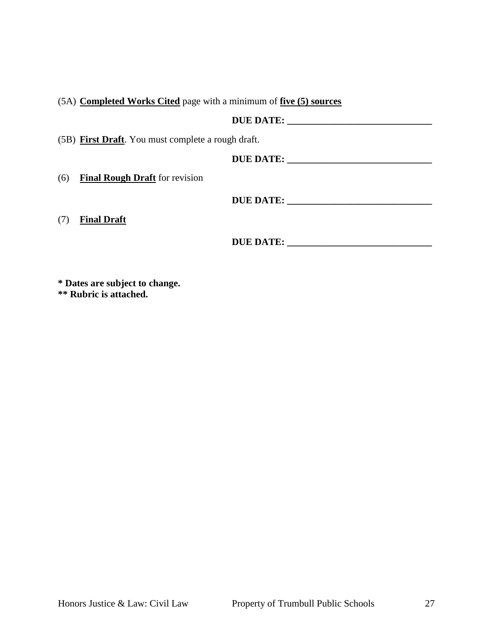(5A) **Completed Works Cited** page with a minimum of **five (5) sources**

|     | DUE DATE:                                          |
|-----|----------------------------------------------------|
|     | (5B) First Draft. You must complete a rough draft. |
|     | DUE DATE:                                          |
| (6) | <b>Final Rough Draft</b> for revision              |
|     | DUE DATE:                                          |
| (7) | <b>Final Draft</b>                                 |

**DUE DATE: \_\_\_\_\_\_\_\_\_\_\_\_\_\_\_\_\_\_\_\_\_\_\_\_\_\_\_\_\_\_**

**\* Dates are subject to change.**

**\*\* Rubric is attached.**